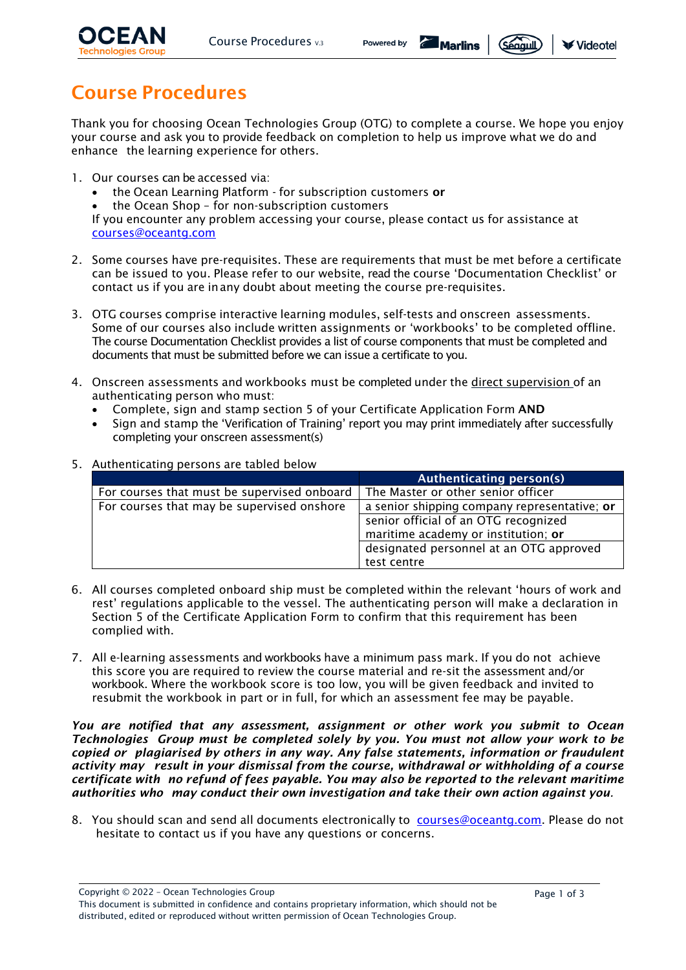

$$
Powered by \qquad \qquad \bullet
$$

**E** Marlins



# Course Procedures

Thank you for choosing Ocean Technologies Group (OTG) to complete a course. We hope you enjoy your course and ask you to provide feedback on completion to help us improve what we do and enhance the learning experience for others.

- 1. Our courses can be accessed via:
	- the Ocean Learning Platform for subscription customers or
	- the Ocean Shop for non-subscription customers

If you encounter any problem accessing your course, please contact us for assistance at [courses@oceantg.com](mailto:courses@oceantg.com)

- 2. Some courses have pre-requisites. These are requirements that must be met before a certificate can be issued to you. Please refer to our website, read the course 'Documentation Checklist' or contact us if you are inany doubt about meeting the course pre-requisites.
- 3. OTG courses comprise interactive learning modules, self-tests and onscreen assessments. Some of our courses also include written assignments or 'workbooks' to be completed offline. The course Documentation Checklist provides a list of course components that must be completed and documents that must be submitted before we can issue a certificate to you.
- 4. Onscreen assessments and workbooks must be completed under the direct supervision of an authenticating person who must:
	- Complete, sign and stamp section 5 of your Certificate Application Form AND
	- Sign and stamp the 'Verification of Training' report you may print immediately after successfully completing your onscreen assessment(s)

|                                             | Authenticating person(s)                     |
|---------------------------------------------|----------------------------------------------|
| For courses that must be supervised onboard | The Master or other senior officer           |
| For courses that may be supervised onshore  | a senior shipping company representative; or |
|                                             | senior official of an OTG recognized         |
|                                             | maritime academy or institution; or          |
|                                             | designated personnel at an OTG approved      |
|                                             | test centre                                  |

#### 5. Authenticating persons are tabled below

- 6. All courses completed onboard ship must be completed within the relevant 'hours of work and rest' regulations applicable to the vessel. The authenticating person will make a declaration in Section 5 of the Certificate Application Form to confirm that this requirement has been complied with.
- 7. All e-learning assessments and workbooks have a minimum pass mark. If you do not achieve this score you are required to review the course material and re-sit the assessment and/or workbook. Where the workbook score is too low, you will be given feedback and invited to resubmit the workbook in part or in full, for which an assessment fee may be payable.

*You are notified that any assessment, assignment or other work you submit to Ocean Technologies Group must be completed solely by you. You must not allow your work to be copied or plagiarised by others in any way. Any false statements, information or fraudulent activity may result in your dismissal from the course, withdrawal or withholding of a course certificate with no refund of fees payable. You may also be reported to the relevant maritime authorities who may conduct their own investigation and take their own action against you.*

8. You should scan and send all documents electronically to [courses@oceantg.com.](mailto:courses@oceantg.com) Please do not hesitate to contact us if you have any questions or concerns.

Copyright © 2022 – Ocean Technologies Group

This document is submitted in confidence and contains proprietary information, which should not be distributed, edited or reproduced without written permission of Ocean Technologies Group.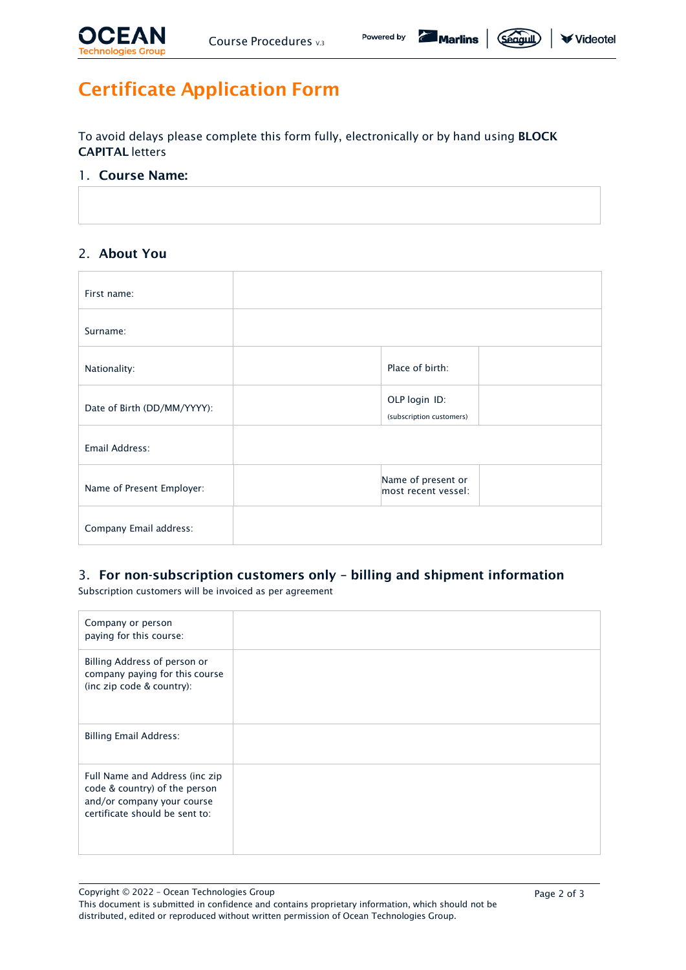

*Seaguil* 

# Certificate Application Form

To avoid delays please complete this form fully, electronically or by hand using BLOCK CAPITAL letters

### 1. Course Name:

# 2. About You

| First name:                 |                                           |  |
|-----------------------------|-------------------------------------------|--|
| Surname:                    |                                           |  |
| Nationality:                | Place of birth:                           |  |
| Date of Birth (DD/MM/YYYY): | OLP login ID:<br>(subscription customers) |  |
| Email Address:              |                                           |  |
| Name of Present Employer:   | Name of present or<br>most recent vessel: |  |
| Company Email address:      |                                           |  |

# 3. For non-subscription customers only – billing and shipment information

Subscription customers will be invoiced as per agreement

| Company or person<br>paying for this course:                                                                                    |  |
|---------------------------------------------------------------------------------------------------------------------------------|--|
| Billing Address of person or<br>company paying for this course<br>(inc zip code & country):                                     |  |
| <b>Billing Email Address:</b>                                                                                                   |  |
| Full Name and Address (inc zip<br>code & country) of the person<br>and/or company your course<br>certificate should be sent to: |  |

Copyright © 2022 – Ocean Technologies Group

This document is submitted in confidence and contains proprietary information, which should not be distributed, edited or reproduced without written permission of Ocean Technologies Group.